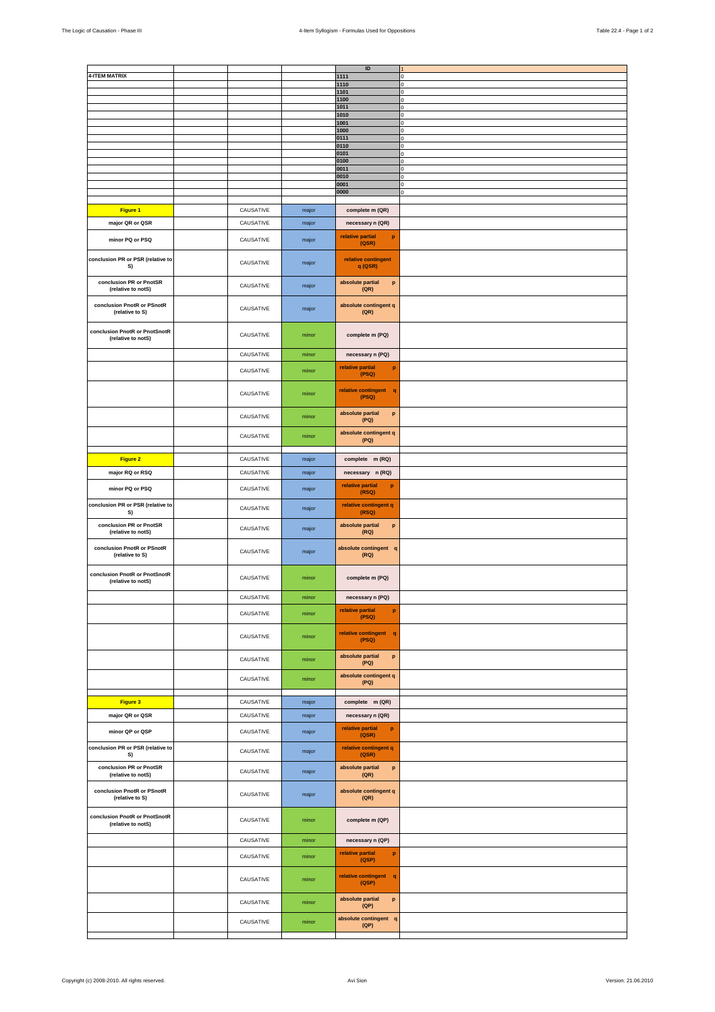| <b>4-ITEM MATRIX</b>                                |           |       | $\sf ID$<br>1111                          | n             |
|-----------------------------------------------------|-----------|-------|-------------------------------------------|---------------|
|                                                     |           |       | 1110                                      | n             |
|                                                     |           |       | 1101                                      |               |
|                                                     |           |       | 1100<br>1011                              | n             |
|                                                     |           |       | 1010                                      | 0             |
|                                                     |           |       | 1001<br>1000                              | $\Omega$<br>O |
|                                                     |           |       | 0111                                      | n             |
|                                                     |           |       | 0110<br>0101                              |               |
|                                                     |           |       | 0100                                      | O             |
|                                                     |           |       | 0011<br>0010                              | 0             |
|                                                     |           |       | 0001                                      | 0<br>$\Omega$ |
|                                                     |           |       | 0000                                      | $\Omega$      |
| Figure 1                                            | CAUSATIVE | major | complete m (QR)                           |               |
|                                                     |           |       |                                           |               |
| major QR or QSR                                     | CAUSATIVE | major | necessary n (QR)                          |               |
| minor PQ or PSQ                                     | CAUSATIVE | major | relative partial<br>p<br>(QSR)            |               |
| conclusion PR or PSR (relative to<br>S)             | CAUSATIVE | major | relative contingent<br>$q$ (QSR)          |               |
| conclusion PR or PnotSR<br>(relative to notS)       | CAUSATIVE | major | absolute partial<br>p<br>(QR)             |               |
| conclusion PnotR or PSnotR<br>(relative to S)       | CAUSATIVE | major | absolute contingent q<br>(QR)             |               |
| conclusion PnotR or PnotSnotR<br>(relative to notS) | CAUSATIVE | minor | complete m (PQ)                           |               |
|                                                     | CAUSATIVE | minor | necessary n (PQ)                          |               |
|                                                     | CAUSATIVE | minor | relative partial<br>$\, {\bf p}$<br>(PSQ) |               |
|                                                     | CAUSATIVE | minor | relative contingent q<br>(PSQ)            |               |
|                                                     | CAUSATIVE | minor | absolute partial<br>p<br>(PQ)             |               |
|                                                     | CAUSATIVE | minor | absolute contingent q<br>(PQ)             |               |
| Figure 2                                            | CAUSATIVE | major | complete m (RQ)                           |               |
| major RQ or RSQ                                     | CAUSATIVE | major | necessary n (RQ)                          |               |
| minor PQ or PSQ                                     | CAUSATIVE | major | relative partial<br>$\mathbf{p}$<br>(RSQ) |               |
| conclusion PR or PSR (relative to<br>S)             | CAUSATIVE | major | relative contingent q<br>(RSQ)            |               |
| conclusion PR or PnotSR<br>(relative to notS)       | CAUSATIVE | major | absolute partial<br>p<br>(RQ)             |               |
| conclusion PnotR or PSnotR<br>(relative to S)       | CAUSATIVE | major | absolute contingent q<br>(RQ)             |               |
| conclusion PnotR or PnotSnotR<br>(relative to notS) | CAUSATIVE | minor | complete m (PQ)                           |               |
|                                                     | CAUSATIVE | minor | necessary n (PQ)                          |               |
|                                                     | CAUSATIVE | minor | relative partial<br>p<br>(PSQ)            |               |
|                                                     | CAUSATIVE | minor | relative contingent q<br>(PSQ)            |               |
|                                                     | CAUSATIVE | minor | absolute partial<br>$\, {\bf p}$          |               |
|                                                     | CAUSATIVE | minor | (PQ)<br>absolute contingent q             |               |
|                                                     |           |       | (PQ)                                      |               |
| Figure 3                                            | CAUSATIVE | major | complete m (QR)                           |               |
| major QR or QSR                                     | CAUSATIVE | major | necessary n (QR)                          |               |
| minor QP or QSP                                     | CAUSATIVE | major | relative partial<br>p<br>(QSR)            |               |
| conclusion PR or PSR (relative to<br>S)             | CAUSATIVE | major | relative contingent q<br>(QSR)            |               |
| conclusion PR or PnotSR<br>(relative to notS)       | CAUSATIVE | major | absolute partial<br>p<br>(QR)             |               |
| conclusion PnotR or PSnotR<br>(relative to S)       | CAUSATIVE | major | absolute contingent q<br>(QR)             |               |
| conclusion PnotR or PnotSnotR<br>(relative to notS) | CAUSATIVE | minor | complete m (QP)                           |               |
|                                                     | CAUSATIVE | minor | necessary n (QP)                          |               |
|                                                     | CAUSATIVE | minor | relative partial<br>$\mathbf{p}$<br>(QSP) |               |
|                                                     | CAUSATIVE | minor | relative contingent q<br>(QSP)            |               |
|                                                     | CAUSATIVE | minor | absolute partial<br>p<br>(QP)             |               |
|                                                     | CAUSATIVE | minor | absolute contingent q<br>(QP)             |               |
|                                                     |           |       |                                           |               |